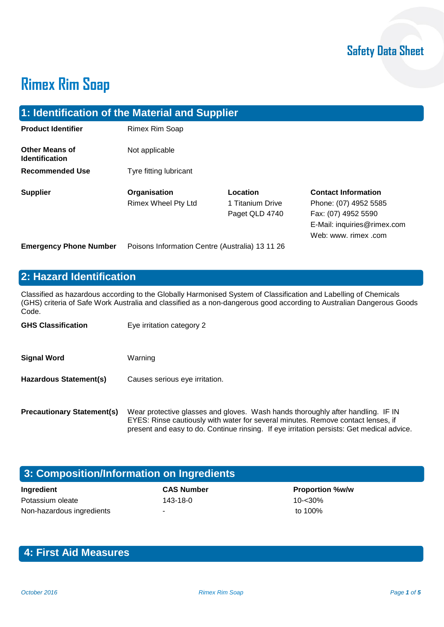# **Rimex Rim Soap**

| 1: Identification of the Material and Supplier |                                                 |                                                |                                                                                                                                  |
|------------------------------------------------|-------------------------------------------------|------------------------------------------------|----------------------------------------------------------------------------------------------------------------------------------|
| <b>Product Identifier</b>                      | Rimex Rim Soap                                  |                                                |                                                                                                                                  |
| <b>Other Means of</b><br><b>Identification</b> | Not applicable                                  |                                                |                                                                                                                                  |
| <b>Recommended Use</b>                         | Tyre fitting lubricant                          |                                                |                                                                                                                                  |
| <b>Supplier</b>                                | Organisation<br>Rimex Wheel Pty Ltd             | Location<br>1 Titanium Drive<br>Paget QLD 4740 | <b>Contact Information</b><br>Phone: (07) 4952 5585<br>Fax: (07) 4952 5590<br>E-Mail: inquiries@rimex.com<br>Web: www. rimex.com |
| <b>Emergency Phone Number</b>                  | Poisons Information Centre (Australia) 13 11 26 |                                                |                                                                                                                                  |

## **2: Hazard Identification**

Classified as hazardous according to the Globally Harmonised System of Classification and Labelling of Chemicals (GHS) criteria of Safe Work Australia and classified as a non-dangerous good according to Australian Dangerous Goods Code.

| <b>GHS Classification</b>         | Eye irritation category 2                                                                                                                                                                                                                                        |
|-----------------------------------|------------------------------------------------------------------------------------------------------------------------------------------------------------------------------------------------------------------------------------------------------------------|
| <b>Signal Word</b>                | Warning                                                                                                                                                                                                                                                          |
| Hazardous Statement(s)            | Causes serious eye irritation.                                                                                                                                                                                                                                   |
| <b>Precautionary Statement(s)</b> | Wear protective glasses and gloves. Wash hands thoroughly after handling. IF IN<br>EYES: Rinse cautiously with water for several minutes. Remove contact lenses, if<br>present and easy to do. Continue rinsing. If eye irritation persists: Get medical advice. |

| 3: Composition/Information on Ingredients |                   |                        |
|-------------------------------------------|-------------------|------------------------|
| Ingredient                                | <b>CAS Number</b> | <b>Proportion %w/w</b> |
| Potassium oleate                          | $143 - 18 - 0$    | $10 - 30%$             |
| Non-hazardous ingredients                 |                   | to 100%                |

## **4: First Aid Measures**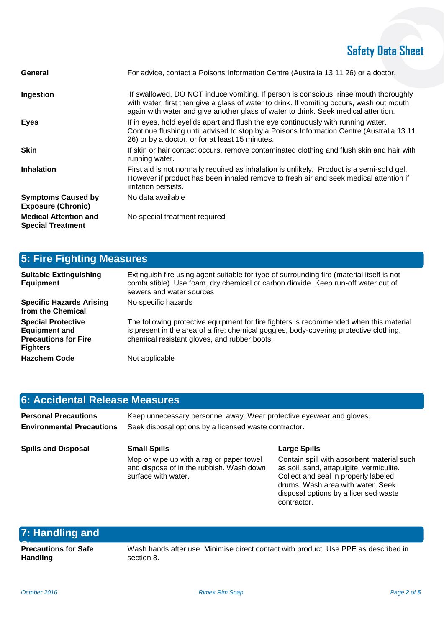## **Safety Data Sheet**

| General                                                  | For advice, contact a Poisons Information Centre (Australia 13 11 26) or a doctor.                                                                                                                                                                                      |
|----------------------------------------------------------|-------------------------------------------------------------------------------------------------------------------------------------------------------------------------------------------------------------------------------------------------------------------------|
| Ingestion                                                | If swallowed, DO NOT induce vomiting. If person is conscious, rinse mouth thoroughly<br>with water, first then give a glass of water to drink. If vomiting occurs, wash out mouth<br>again with water and give another glass of water to drink. Seek medical attention. |
| <b>Eyes</b>                                              | If in eyes, hold eyelids apart and flush the eye continuously with running water.<br>Continue flushing until advised to stop by a Poisons Information Centre (Australia 13 11<br>26) or by a doctor, or for at least 15 minutes.                                        |
| <b>Skin</b>                                              | If skin or hair contact occurs, remove contaminated clothing and flush skin and hair with<br>running water.                                                                                                                                                             |
| <b>Inhalation</b>                                        | First aid is not normally required as inhalation is unlikely. Product is a semi-solid gel.<br>However if product has been inhaled remove to fresh air and seek medical attention if<br>irritation persists.                                                             |
| <b>Symptoms Caused by</b><br><b>Exposure (Chronic)</b>   | No data available                                                                                                                                                                                                                                                       |
| <b>Medical Attention and</b><br><b>Special Treatment</b> | No special treatment required                                                                                                                                                                                                                                           |

| <b>5: Fire Fighting Measures</b>                                                                    |                                                                                                                                                                                                                                  |  |
|-----------------------------------------------------------------------------------------------------|----------------------------------------------------------------------------------------------------------------------------------------------------------------------------------------------------------------------------------|--|
| <b>Suitable Extinguishing</b><br><b>Equipment</b>                                                   | Extinguish fire using agent suitable for type of surrounding fire (material itself is not<br>combustible). Use foam, dry chemical or carbon dioxide. Keep run-off water out of<br>sewers and water sources                       |  |
| <b>Specific Hazards Arising</b><br>from the Chemical                                                | No specific hazards                                                                                                                                                                                                              |  |
| <b>Special Protective</b><br><b>Equipment and</b><br><b>Precautions for Fire</b><br><b>Fighters</b> | The following protective equipment for fire fighters is recommended when this material<br>is present in the area of a fire: chemical goggles, body-covering protective clothing,<br>chemical resistant gloves, and rubber boots. |  |
| <b>Hazchem Code</b>                                                                                 | Not applicable                                                                                                                                                                                                                   |  |

#### **6: Accidental Release Measures**

| <b>Personal Precautions</b>      | Keep unnecessary personnel away. Wear protective eyewear and gloves. |
|----------------------------------|----------------------------------------------------------------------|
| <b>Environmental Precautions</b> | Seek disposal options by a licensed waste contractor.                |

**Spills and Disposal Small Spills Large Spills** Mop or wipe up with a rag or paper towel and dispose of in the rubbish. Wash down surface with water.

Contain spill with absorbent material such as soil, sand, attapulgite, vermiculite. Collect and seal in properly labeled drums. Wash area with water. Seek disposal options by a licensed waste contractor.

### **7: Handling and**

**Precautions for Safe Handling**

Wash hands after use. Minimise direct contact with product. Use PPE as described in section 8.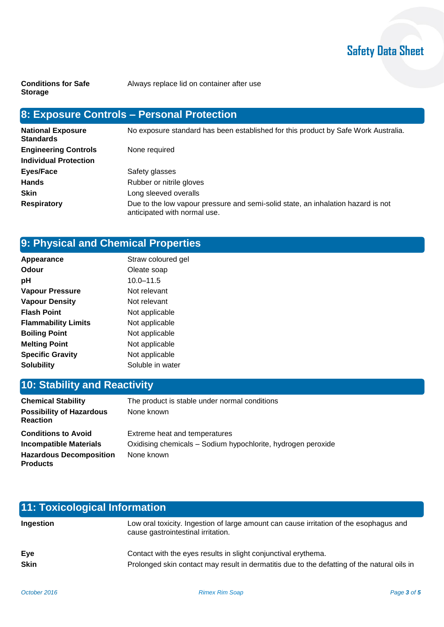## **Safety Data Sheet**

**Conditions for Safe Storage**

Always replace lid on container after use

## **8: Exposure Controls – Personal Protection**

| <b>National Exposure</b><br><b>Standards</b> | No exposure standard has been established for this product by Safe Work Australia.                               |
|----------------------------------------------|------------------------------------------------------------------------------------------------------------------|
| <b>Engineering Controls</b>                  | None required                                                                                                    |
| <b>Individual Protection</b>                 |                                                                                                                  |
| Eyes/Face                                    | Safety glasses                                                                                                   |
| <b>Hands</b>                                 | Rubber or nitrile gloves                                                                                         |
| <b>Skin</b>                                  | Long sleeved overalls                                                                                            |
| <b>Respiratory</b>                           | Due to the low vapour pressure and semi-solid state, an inhalation hazard is not<br>anticipated with normal use. |

## **9: Physical and Chemical Properties**

| Appearance                 | Straw coloured gel |
|----------------------------|--------------------|
| Odour                      | Oleate soap        |
| рH                         | $10.0 - 11.5$      |
| Vapour Pressure            | Not relevant       |
| <b>Vapour Density</b>      | Not relevant       |
| <b>Flash Point</b>         | Not applicable     |
| <b>Flammability Limits</b> | Not applicable     |
| <b>Boiling Point</b>       | Not applicable     |
| <b>Melting Point</b>       | Not applicable     |
| <b>Specific Gravity</b>    | Not applicable     |
| <b>Solubility</b>          | Soluble in water   |

## **10: Stability and Reactivity**

| <b>Chemical Stability</b>                          | The product is stable under normal conditions                |
|----------------------------------------------------|--------------------------------------------------------------|
| <b>Possibility of Hazardous</b><br><b>Reaction</b> | None known                                                   |
| <b>Conditions to Avoid</b>                         | Extreme heat and temperatures                                |
| <b>Incompatible Materials</b>                      | Oxidising chemicals - Sodium hypochlorite, hydrogen peroxide |
| <b>Hazardous Decomposition</b><br><b>Products</b>  | None known                                                   |

| 11: Toxicological Information |                                                                                                                                                               |  |
|-------------------------------|---------------------------------------------------------------------------------------------------------------------------------------------------------------|--|
| Ingestion                     | Low oral toxicity. Ingestion of large amount can cause irritation of the esophagus and<br>cause gastrointestinal irritation.                                  |  |
| Eye<br><b>Skin</b>            | Contact with the eyes results in slight conjunctival erythema.<br>Prolonged skin contact may result in dermatitis due to the defatting of the natural oils in |  |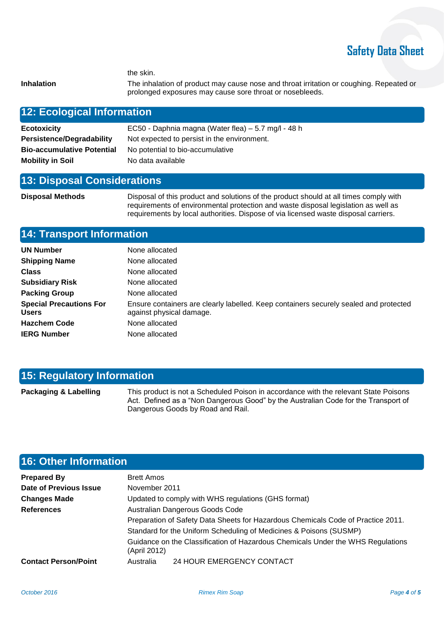## **Safety Data Sheet**

the skin.

**Inhalation** The inhalation of product may cause nose and throat irritation or coughing. Repeated or prolonged exposures may cause sore throat or nosebleeds.

#### **12: Ecological Information**

| <b>Ecotoxicity</b>                | EC50 - Daphnia magna (Water flea) – 5.7 mg/l - 48 h |
|-----------------------------------|-----------------------------------------------------|
| <b>Persistence/Degradability</b>  | Not expected to persist in the environment.         |
| <b>Bio-accumulative Potential</b> | No potential to bio-accumulative                    |
| <b>Mobility in Soil</b>           | No data available                                   |

#### **13: Disposal Considerations**

**Disposal Methods** Disposal of this product and solutions of the product should at all times comply with requirements of environmental protection and waste disposal legislation as well as requirements by local authorities. Dispose of via licensed waste disposal carriers.

#### **14: Transport Information**

| <b>UN Number</b>                               | None allocated                                                                                                    |
|------------------------------------------------|-------------------------------------------------------------------------------------------------------------------|
| <b>Shipping Name</b>                           | None allocated                                                                                                    |
| <b>Class</b>                                   | None allocated                                                                                                    |
| <b>Subsidiary Risk</b>                         | None allocated                                                                                                    |
| <b>Packing Group</b>                           | None allocated                                                                                                    |
| <b>Special Precautions For</b><br><b>Users</b> | Ensure containers are clearly labelled. Keep containers securely sealed and protected<br>against physical damage. |
| <b>Hazchem Code</b>                            | None allocated                                                                                                    |
| <b>IERG Number</b>                             | None allocated                                                                                                    |
|                                                |                                                                                                                   |

#### **15: Regulatory Information**

Packaging & Labelling This product is not a Scheduled Poison in accordance with the relevant State Poisons Act. Defined as a "Non Dangerous Good" by the Australian Code for the Transport of Dangerous Goods by Road and Rail.

### **16: Other Information**

| <b>Prepared By</b>          | <b>Brett Amos</b>                                                                               |                           |
|-----------------------------|-------------------------------------------------------------------------------------------------|---------------------------|
| Date of Previous Issue      | November 2011                                                                                   |                           |
| <b>Changes Made</b>         | Updated to comply with WHS regulations (GHS format)                                             |                           |
| <b>References</b>           | Australian Dangerous Goods Code                                                                 |                           |
|                             | Preparation of Safety Data Sheets for Hazardous Chemicals Code of Practice 2011.                |                           |
|                             | Standard for the Uniform Scheduling of Medicines & Poisons (SUSMP)                              |                           |
|                             | Guidance on the Classification of Hazardous Chemicals Under the WHS Regulations<br>(April 2012) |                           |
| <b>Contact Person/Point</b> | Australia                                                                                       | 24 HOUR EMERGENCY CONTACT |